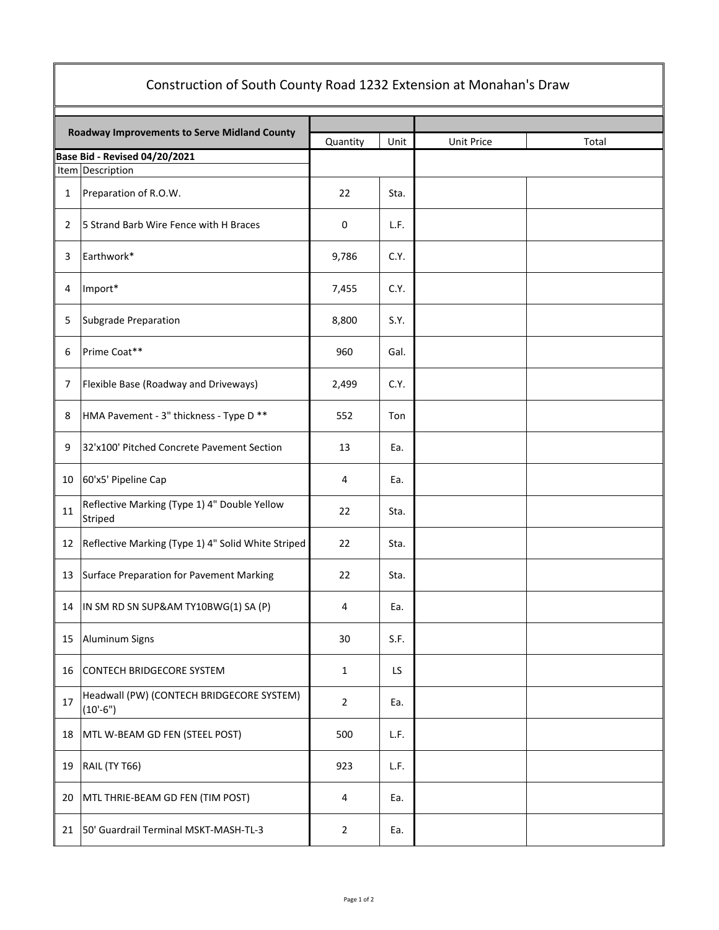| Construction of South County Road 1232 Extension at Monahan's Draw |                                                         |                |      |            |       |  |
|--------------------------------------------------------------------|---------------------------------------------------------|----------------|------|------------|-------|--|
| Roadway Improvements to Serve Midland County                       |                                                         | Quantity       | Unit | Unit Price | Total |  |
|                                                                    | Base Bid - Revised 04/20/2021                           |                |      |            |       |  |
|                                                                    | Item Description                                        |                |      |            |       |  |
| $\mathbf{1}$                                                       | Preparation of R.O.W.                                   | 22             | Sta. |            |       |  |
| 2                                                                  | 5 Strand Barb Wire Fence with H Braces                  | 0              | L.F. |            |       |  |
| 3                                                                  | Earthwork*                                              | 9,786          | C.Y. |            |       |  |
| 4                                                                  | Import*                                                 | 7,455          | C.Y. |            |       |  |
| 5                                                                  | Subgrade Preparation                                    | 8,800          | S.Y. |            |       |  |
| 6                                                                  | Prime Coat**                                            | 960            | Gal. |            |       |  |
| 7                                                                  | Flexible Base (Roadway and Driveways)                   | 2,499          | C.Y. |            |       |  |
| 8                                                                  | HMA Pavement - 3" thickness - Type D **                 | 552            | Ton  |            |       |  |
| 9                                                                  | 32'x100' Pitched Concrete Pavement Section              | 13             | Ea.  |            |       |  |
| 10                                                                 | 60'x5' Pipeline Cap                                     | 4              | Ea.  |            |       |  |
| 11                                                                 | Reflective Marking (Type 1) 4" Double Yellow<br>Striped | 22             | Sta. |            |       |  |
| 12                                                                 | Reflective Marking (Type 1) 4" Solid White Striped      | 22             | Sta. |            |       |  |
| 13                                                                 | Surface Preparation for Pavement Marking                | 22             | Sta. |            |       |  |
| 14                                                                 | IN SM RD SN SUP&AM TY10BWG(1) SA (P)                    | 4              | Ea.  |            |       |  |
| 15                                                                 | Aluminum Signs                                          | 30             | S.F. |            |       |  |
| 16                                                                 | CONTECH BRIDGECORE SYSTEM                               | $\mathbf{1}$   | LS   |            |       |  |
| 17                                                                 | Headwall (PW) (CONTECH BRIDGECORE SYSTEM)<br>$(10'-6")$ | $\overline{2}$ | Ea.  |            |       |  |
| 18                                                                 | MTL W-BEAM GD FEN (STEEL POST)                          | 500            | L.F. |            |       |  |
| 19                                                                 | RAIL (TY T66)                                           | 923            | L.F. |            |       |  |
| 20                                                                 | MTL THRIE-BEAM GD FEN (TIM POST)                        | 4              | Ea.  |            |       |  |
| 21                                                                 | 50' Guardrail Terminal MSKT-MASH-TL-3                   | $\overline{2}$ | Ea.  |            |       |  |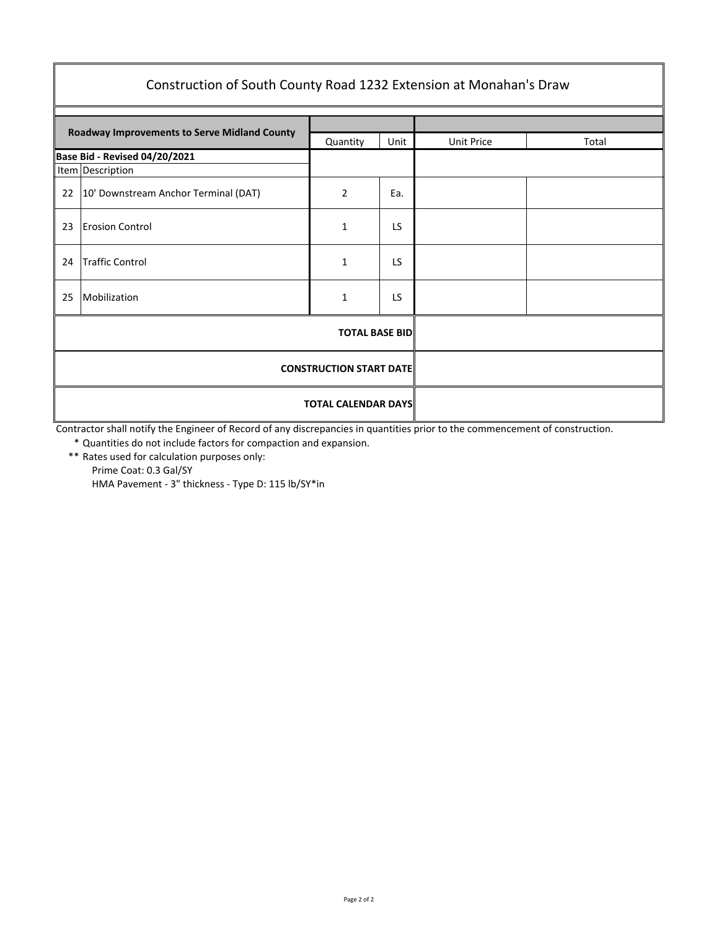| Construction of South County Road 1232 Extension at Monahan's Draw |                                      |                |           |            |       |  |  |  |
|--------------------------------------------------------------------|--------------------------------------|----------------|-----------|------------|-------|--|--|--|
|                                                                    |                                      |                |           |            |       |  |  |  |
| Roadway Improvements to Serve Midland County                       |                                      | Quantity       | Unit      | Unit Price | Total |  |  |  |
|                                                                    | Base Bid - Revised 04/20/2021        |                |           |            |       |  |  |  |
|                                                                    | Item Description                     |                |           |            |       |  |  |  |
| 22                                                                 | 10' Downstream Anchor Terminal (DAT) | $\overline{2}$ | Ea.       |            |       |  |  |  |
| 23                                                                 | <b>Erosion Control</b>               | $\mathbf{1}$   | LS.       |            |       |  |  |  |
| 24                                                                 | <b>Traffic Control</b>               | $\mathbf{1}$   | <b>LS</b> |            |       |  |  |  |
| 25                                                                 | Mobilization                         | 1              | <b>LS</b> |            |       |  |  |  |
|                                                                    |                                      |                |           |            |       |  |  |  |
| <b>CONSTRUCTION START DATE</b>                                     |                                      |                |           |            |       |  |  |  |
|                                                                    | <b>TOTAL CALENDAR DAYS</b>           |                |           |            |       |  |  |  |

Contractor shall notify the Engineer of Record of any discrepancies in quantities prior to the commencement of construction.

\* Quantities do not include factors for compaction and expansion.

\*\* Rates used for calculation purposes only: Prime Coat: 0.3 Gal/SY HMA Pavement - 3" thickness - Type D: 115 lb/SY\*in